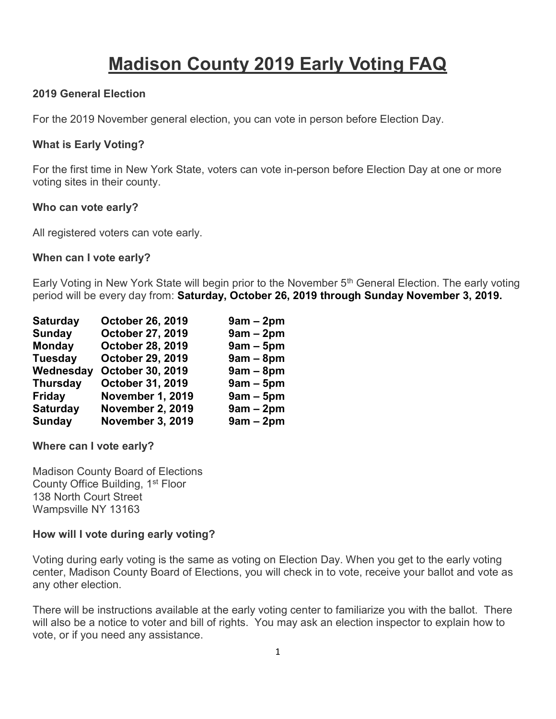# Madison County 2019 Early Voting FAQ

### 2019 General Election

For the 2019 November general election, you can vote in person before Election Day.

#### What is Early Voting?

For the first time in New York State, voters can vote in-person before Election Day at one or more voting sites in their county.

#### Who can vote early?

All registered voters can vote early.

#### When can I vote early?

Early Voting in New York State will begin prior to the November 5<sup>th</sup> General Election. The early voting period will be every day from: Saturday, October 26, 2019 through Sunday November 3, 2019.

| <b>Saturday</b> | October 26, 2019        | $9am - 2pm$ |
|-----------------|-------------------------|-------------|
| Sunday          | October 27, 2019        | $9am - 2pm$ |
| Monday          | <b>October 28, 2019</b> | $9am - 5pm$ |
| <b>Tuesday</b>  | <b>October 29, 2019</b> | $9am - 8pm$ |
| Wednesday       | October 30, 2019        | $9am - 8pm$ |
| <b>Thursday</b> | <b>October 31, 2019</b> | $9am - 5pm$ |
| <b>Friday</b>   | <b>November 1, 2019</b> | $9am - 5pm$ |
| <b>Saturday</b> | <b>November 2, 2019</b> | $9am - 2pm$ |
| Sunday          | <b>November 3, 2019</b> | $9am - 2pm$ |

Where can I vote early?

Madison County Board of Elections County Office Building, 1st Floor 138 North Court Street Wampsville NY 13163

#### How will I vote during early voting?

Voting during early voting is the same as voting on Election Day. When you get to the early voting center, Madison County Board of Elections, you will check in to vote, receive your ballot and vote as any other election.

There will be instructions available at the early voting center to familiarize you with the ballot. There will also be a notice to voter and bill of rights. You may ask an election inspector to explain how to vote, or if you need any assistance.